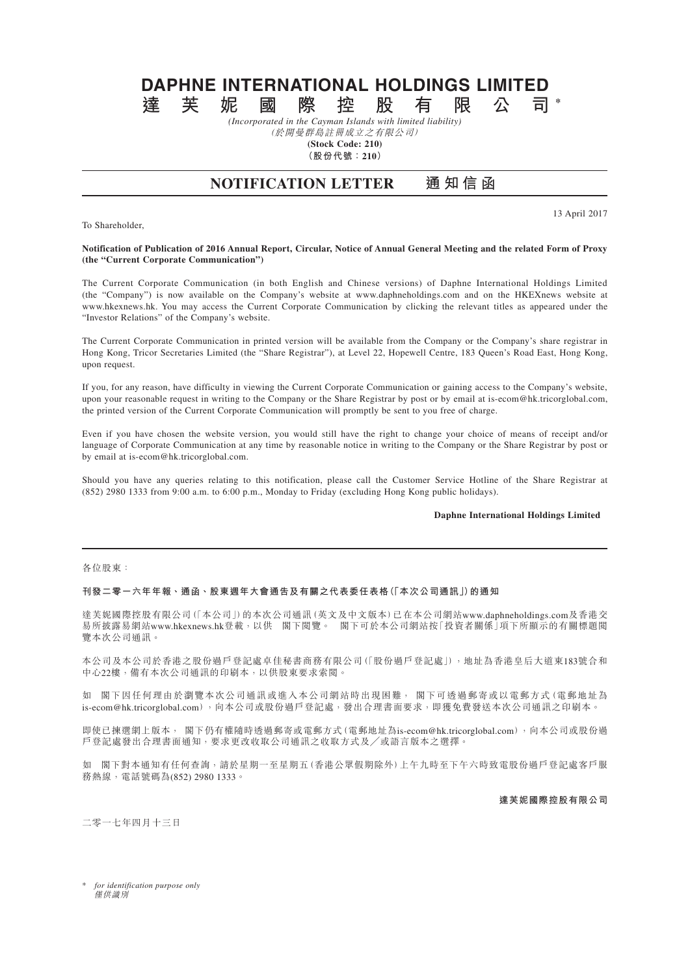# **DAPHNE INTERNATIONAL HOLDINGS LIMITED 達芙妮國際控股有限公司 \***

*(Incorporated in the Cayman Islands with limited liability)* (於開曼群島註冊成立之有限公司)

**(Stock Code: 210)**

**(股份代號:210)**

# **NOTIFICATION LETTER 通 知 信 函**

To Shareholder,

13 April 2017

### **Notification of Publication of 2016 Annual Report, Circular, Notice of Annual General Meeting and the related Form of Proxy (the "Current Corporate Communication")**

The Current Corporate Communication (in both English and Chinese versions) of Daphne International Holdings Limited (the "Company") is now available on the Company's website at www.daphneholdings.com and on the HKEXnews website at www.hkexnews.hk. You may access the Current Corporate Communication by clicking the relevant titles as appeared under the "Investor Relations" of the Company's website.

The Current Corporate Communication in printed version will be available from the Company or the Company's share registrar in Hong Kong, Tricor Secretaries Limited (the "Share Registrar"), at Level 22, Hopewell Centre, 183 Queen's Road East, Hong Kong, upon request.

If you, for any reason, have difficulty in viewing the Current Corporate Communication or gaining access to the Company's website, upon your reasonable request in writing to the Company or the Share Registrar by post or by email at is-ecom@hk.tricorglobal.com, the printed version of the Current Corporate Communication will promptly be sent to you free of charge.

Even if you have chosen the website version, you would still have the right to change your choice of means of receipt and/or language of Corporate Communication at any time by reasonable notice in writing to the Company or the Share Registrar by post or by email at is-ecom@hk.tricorglobal.com.

Should you have any queries relating to this notification, please call the Customer Service Hotline of the Share Registrar at (852) 2980 1333 from 9:00 a.m. to 6:00 p.m., Monday to Friday (excluding Hong Kong public holidays).

# **Daphne International Holdings Limited**

#### 各位股東:

## **刊發二零一六年年報、通函、股東週年大會通告及有關之代表委任表格(「本次公司通訊」)的通知**

達芙妮國際控股有限公司(「本公司」)的本次公司通訊(英文及中文版本)已在本公司網站www.daphneholdings.com及香港交 易所披露易網站www.hkexnews.hk登載,以供 閣下閱覽。 閣下可於本公司網站按「投資者關係」項下所顯示的有關標題閱 覽本次公司通訊。

本公司及本公司於香港之股份過戶登記處卓佳秘書商務有限公司(「股份過戶登記處」),地址為香港皇后大道東183號合和 中心22樓,備有本次公司通訊的印刷本,以供股東要求索閱。

如 閣下因任何理由於瀏覽本次公司通訊或進入本公司網站時出現困難, 閣下可透過郵寄或以電郵方式(電郵地址為 is-ecom@hk.tricorglobal.com),向本公司或股份過戶登記處,發出合理書面要求,即獲免費發送本次公司通訊之印刷本。

即使已揀選網上版本, 閣下仍有權隨時透過郵寄或電郵方式(電郵地址為is-ecom@hk.tricorglobal.com),向本公司或股份過 戶登記處發出合理書面通知,要求更改收取公司通訊之收取方式及╱或語言版本之選擇。

如 閣下對本通知有任何查詢,請於星期一至星期五(香港公眾假期除外)上午九時至下午六時致電股份過戶登記處客戶服 務熱線,電話號碼為(852) 2980 1333。

**達芙妮國際控股有限公司**

二零一七年四月十三日

\* *for identification purpose only* 僅供識別